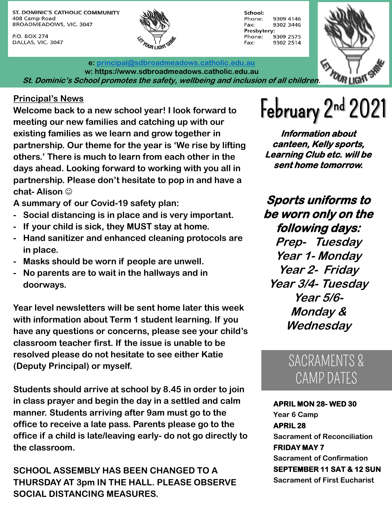ST. DOMINIC'S CATHOLIC COMMUNITY 408 Camp Road BROADMEADOWS, VIC. 3047

P.O. BOX 274 DALLAS, VIC. 3047





**e: [principal@sdbroadmeadows.catholic.edu.au](mailto:principal@sdbroadmeadows.catholic.edu.au) w: https://www.sdbroadmeadows.catholic.edu.au St. Dominic's School promotes the safety, wellbeing and inclusion of all children.**

Principal's News<br>Welcome back to a new school year! I look forward to **February 2nd 2021**<br>meeting our new families and actoring up with our **Welcome back to a new school year! I look forward to meeting our new families and catching up with our existing families as we learn and grow together in partnership. Our theme for the year is 'We rise by lifting others.' There is much to learn from each other in the days ahead. Looking forward to working with you all in partnership. Please don't hesitate to pop in and have a chat- Alison** 

**A summary of our Covid-19 safety plan:**

- **- Social distancing is in place and is very important.**
- **- If your child is sick, they MUST stay at home.**
- **- Hand sanitizer and enhanced cleaning protocols are in place.**
- **- Masks should be worn if people are unwell.**
- **- No parents are to wait in the hallways and in doorways.**

**Year level newsletters will be sent home later this week with information about Term 1 student learning. If you have any questions or concerns, please see your child's classroom teacher first. If the issue is unable to be resolved please do not hesitate to see either Katie (Deputy Principal) or myself.**

**Students should arrive at school by 8.45 in order to join in class prayer and begin the day in a settled and calm manner. Students arriving after 9am must go to the office to receive a late pass. Parents please go to the office if a child is late/leaving early- do not go directly to the classroom.**

**SCHOOL ASSEMBLY HAS BEEN CHANGED TO A THURSDAY AT 3pm IN THE HALL. PLEASE OBSERVE SOCIAL DISTANCING MEASURES.**

**Information about canteen, Kelly sports, Learning Club etc. will be sent home tomorrow.**

**Sports uniforms to be worn only on the following days:**

**Prep- Tuesday Year 1- Monday Year 2- Friday Year 3/4- Tuesday Year 5/6- Monday & Wednesday**

### SACRAMENTS & CAMP DATES

**APRIL MON 28- WED 30 Year 6 Camp APRIL 28 Sacrament of Reconciliation FRIDAY MAY 7 Sacrament of Confirmation SEPTEMBER 11 SAT & 12 SUN Sacrament of First Eucharist**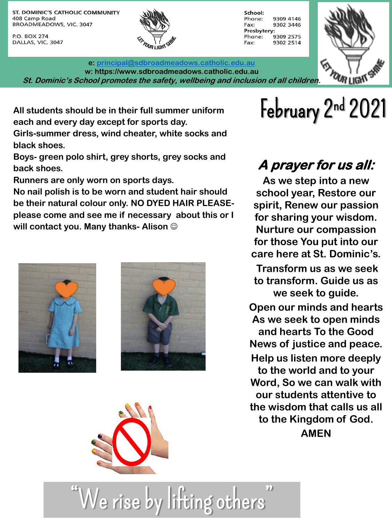ST. DOMINIC'S CATHOLIC COMMUNITY 408 Camp Road BROADMEADOWS, VIC. 3047

P.O. BOX 274 DALLAS, VIC. 3047





**e: [principal@sdbroadmeadows.catholic.edu.au](mailto:principal@sdbroadmeadows.catholic.edu.au) w: https://www.sdbroadmeadows.catholic.edu.au St. Dominic's School promotes the safety, wellbeing and inclusion of all children.**

All students should be in their full summer uniform **February 2nd 2021 each and every day except for sports day.**

**Girls-summer dress, wind cheater, white socks and black shoes.**

**Boys- green polo shirt, grey shorts, grey socks and back shoes.**

**Runners are only worn on sports days.**

**No nail polish is to be worn and student hair should be their natural colour only. NO DYED HAIR PLEASEplease come and see me if necessary about this or I will contact you. Many thanks- Alison** 





We rise by litting others

## **A prayer for us all:**

**As we step into a new school year, Restore our spirit, Renew our passion for sharing your wisdom. Nurture our compassion for those You put into our care here at St. Dominic's.** 

**Transform us as we seek to transform. Guide us as we seek to guide. Open our minds and hearts** 

**As we seek to open minds and hearts To the Good News of justice and peace. Help us listen more deeply to the world and to your Word, So we can walk with our students attentive to the wisdom that calls us all to the Kingdom of God.**

**AMEN**